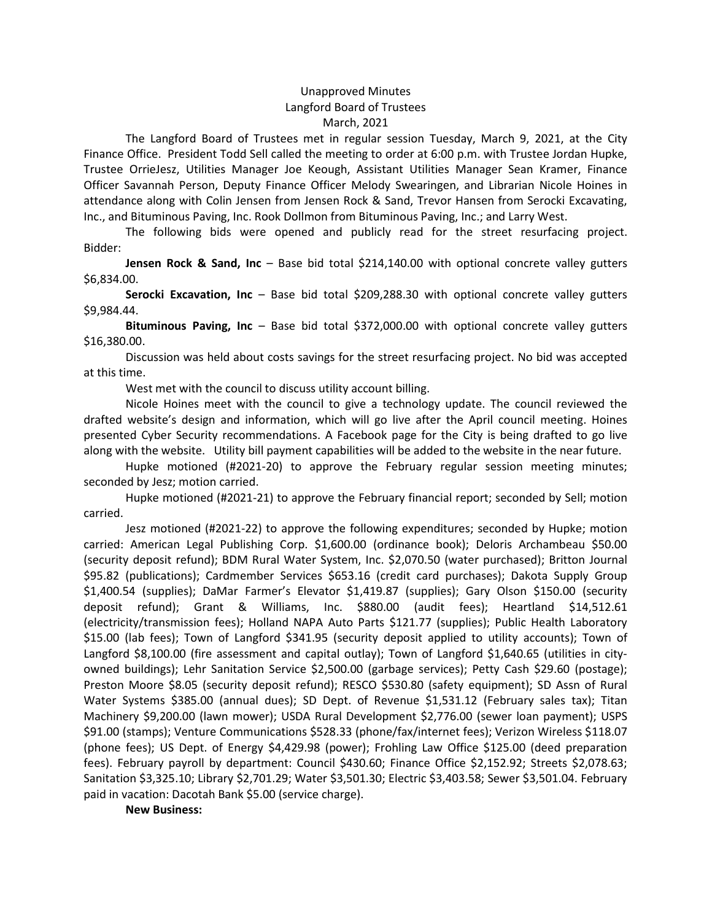## Unapproved Minutes Langford Board of Trustees March, 2021

The Langford Board of Trustees met in regular session Tuesday, March 9, 2021, at the City Finance Office. President Todd Sell called the meeting to order at 6:00 p.m. with Trustee Jordan Hupke, Trustee OrrieJesz, Utilities Manager Joe Keough, Assistant Utilities Manager Sean Kramer, Finance Officer Savannah Person, Deputy Finance Officer Melody Swearingen, and Librarian Nicole Hoines in attendance along with Colin Jensen from Jensen Rock & Sand, Trevor Hansen from Serocki Excavating, Inc., and Bituminous Paving, Inc. Rook Dollmon from Bituminous Paving, Inc.; and Larry West.

The following bids were opened and publicly read for the street resurfacing project. Bidder:

Jensen Rock & Sand, Inc – Base bid total \$214,140.00 with optional concrete valley gutters \$6,834.00.

Serocki Excavation, Inc – Base bid total \$209,288.30 with optional concrete valley gutters \$9,984.44.

Bituminous Paving, Inc - Base bid total \$372,000.00 with optional concrete valley gutters \$16,380.00.

Discussion was held about costs savings for the street resurfacing project. No bid was accepted at this time.

West met with the council to discuss utility account billing.

Nicole Hoines meet with the council to give a technology update. The council reviewed the drafted website's design and information, which will go live after the April council meeting. Hoines presented Cyber Security recommendations. A Facebook page for the City is being drafted to go live along with the website. Utility bill payment capabilities will be added to the website in the near future.

Hupke motioned (#2021-20) to approve the February regular session meeting minutes; seconded by Jesz; motion carried.

Hupke motioned (#2021-21) to approve the February financial report; seconded by Sell; motion carried.

Jesz motioned (#2021-22) to approve the following expenditures; seconded by Hupke; motion carried: American Legal Publishing Corp. \$1,600.00 (ordinance book); Deloris Archambeau \$50.00 (security deposit refund); BDM Rural Water System, Inc. \$2,070.50 (water purchased); Britton Journal \$95.82 (publications); Cardmember Services \$653.16 (credit card purchases); Dakota Supply Group \$1,400.54 (supplies); DaMar Farmer's Elevator \$1,419.87 (supplies); Gary Olson \$150.00 (security deposit refund); Grant & Williams, Inc. \$880.00 (audit fees); Heartland \$14,512.61 (electricity/transmission fees); Holland NAPA Auto Parts \$121.77 (supplies); Public Health Laboratory \$15.00 (lab fees); Town of Langford \$341.95 (security deposit applied to utility accounts); Town of Langford \$8,100.00 (fire assessment and capital outlay); Town of Langford \$1,640.65 (utilities in cityowned buildings); Lehr Sanitation Service \$2,500.00 (garbage services); Petty Cash \$29.60 (postage); Preston Moore \$8.05 (security deposit refund); RESCO \$530.80 (safety equipment); SD Assn of Rural Water Systems \$385.00 (annual dues); SD Dept. of Revenue \$1,531.12 (February sales tax); Titan Machinery \$9,200.00 (lawn mower); USDA Rural Development \$2,776.00 (sewer loan payment); USPS \$91.00 (stamps); Venture Communications \$528.33 (phone/fax/internet fees); Verizon Wireless \$118.07 (phone fees); US Dept. of Energy \$4,429.98 (power); Frohling Law Office \$125.00 (deed preparation fees). February payroll by department: Council \$430.60; Finance Office \$2,152.92; Streets \$2,078.63; Sanitation \$3,325.10; Library \$2,701.29; Water \$3,501.30; Electric \$3,403.58; Sewer \$3,501.04. February paid in vacation: Dacotah Bank \$5.00 (service charge).

New Business: